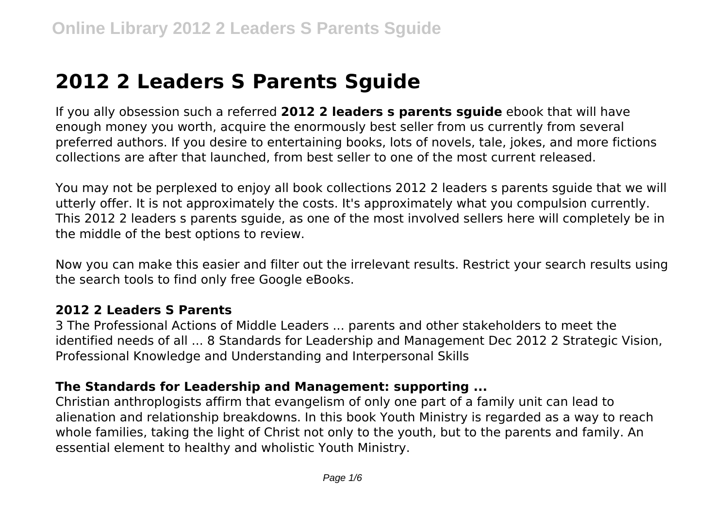# **2012 2 Leaders S Parents Sguide**

If you ally obsession such a referred **2012 2 leaders s parents sguide** ebook that will have enough money you worth, acquire the enormously best seller from us currently from several preferred authors. If you desire to entertaining books, lots of novels, tale, jokes, and more fictions collections are after that launched, from best seller to one of the most current released.

You may not be perplexed to enjoy all book collections 2012 2 leaders s parents sguide that we will utterly offer. It is not approximately the costs. It's approximately what you compulsion currently. This 2012 2 leaders s parents sguide, as one of the most involved sellers here will completely be in the middle of the best options to review.

Now you can make this easier and filter out the irrelevant results. Restrict your search results using the search tools to find only free Google eBooks.

#### **2012 2 Leaders S Parents**

3 The Professional Actions of Middle Leaders ... parents and other stakeholders to meet the identified needs of all ... 8 Standards for Leadership and Management Dec 2012 2 Strategic Vision, Professional Knowledge and Understanding and Interpersonal Skills

#### **The Standards for Leadership and Management: supporting ...**

Christian anthroplogists affirm that evangelism of only one part of a family unit can lead to alienation and relationship breakdowns. In this book Youth Ministry is regarded as a way to reach whole families, taking the light of Christ not only to the youth, but to the parents and family. An essential element to healthy and wholistic Youth Ministry.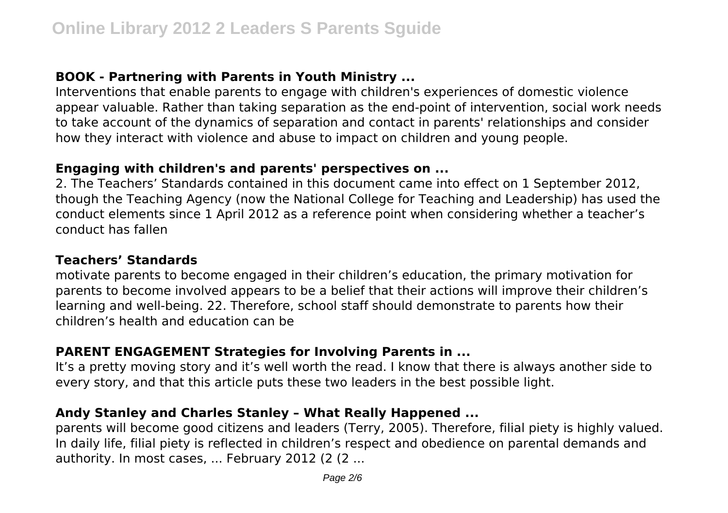# **BOOK - Partnering with Parents in Youth Ministry ...**

Interventions that enable parents to engage with children's experiences of domestic violence appear valuable. Rather than taking separation as the end‐point of intervention, social work needs to take account of the dynamics of separation and contact in parents' relationships and consider how they interact with violence and abuse to impact on children and young people.

#### **Engaging with children's and parents' perspectives on ...**

2. The Teachers' Standards contained in this document came into effect on 1 September 2012, though the Teaching Agency (now the National College for Teaching and Leadership) has used the conduct elements since 1 April 2012 as a reference point when considering whether a teacher's conduct has fallen

# **Teachers' Standards**

motivate parents to become engaged in their children's education, the primary motivation for parents to become involved appears to be a belief that their actions will improve their children's learning and well-being. 22. Therefore, school staff should demonstrate to parents how their children's health and education can be

# **PARENT ENGAGEMENT Strategies for Involving Parents in ...**

It's a pretty moving story and it's well worth the read. I know that there is always another side to every story, and that this article puts these two leaders in the best possible light.

# **Andy Stanley and Charles Stanley – What Really Happened ...**

parents will become good citizens and leaders (Terry, 2005). Therefore, filial piety is highly valued. In daily life, filial piety is reflected in children's respect and obedience on parental demands and authority. In most cases, ... February 2012 (2 (2 ...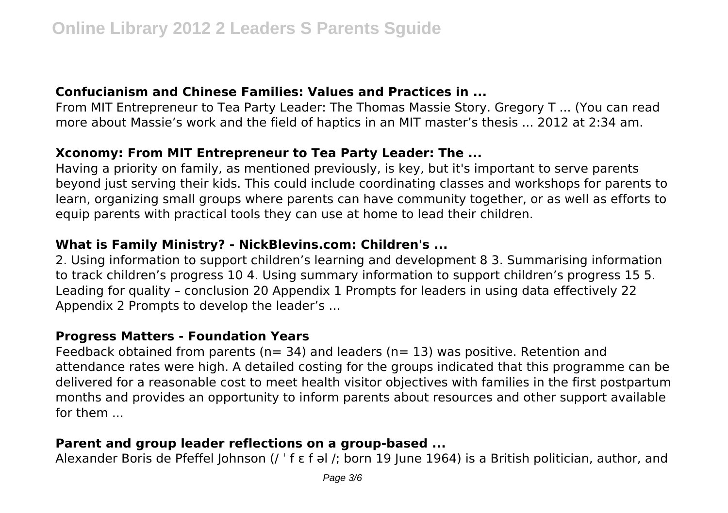# **Confucianism and Chinese Families: Values and Practices in ...**

From MIT Entrepreneur to Tea Party Leader: The Thomas Massie Story. Gregory T ... (You can read more about Massie's work and the field of haptics in an MIT master's thesis ... 2012 at 2:34 am.

# **Xconomy: From MIT Entrepreneur to Tea Party Leader: The ...**

Having a priority on family, as mentioned previously, is key, but it's important to serve parents beyond just serving their kids. This could include coordinating classes and workshops for parents to learn, organizing small groups where parents can have community together, or as well as efforts to equip parents with practical tools they can use at home to lead their children.

# **What is Family Ministry? - NickBlevins.com: Children's ...**

2. Using information to support children's learning and development 8 3. Summarising information to track children's progress 10 4. Using summary information to support children's progress 15 5. Leading for quality – conclusion 20 Appendix 1 Prompts for leaders in using data effectively 22 Appendix 2 Prompts to develop the leader's ...

#### **Progress Matters - Foundation Years**

Feedback obtained from parents ( $n= 34$ ) and leaders ( $n= 13$ ) was positive. Retention and attendance rates were high. A detailed costing for the groups indicated that this programme can be delivered for a reasonable cost to meet health visitor objectives with families in the first postpartum months and provides an opportunity to inform parents about resources and other support available for them ...

# **Parent and group leader reflections on a group-based ...**

Alexander Boris de Pfeffel Johnson (/ ˈ f ɛ f əl /; born 19 June 1964) is a British politician, author, and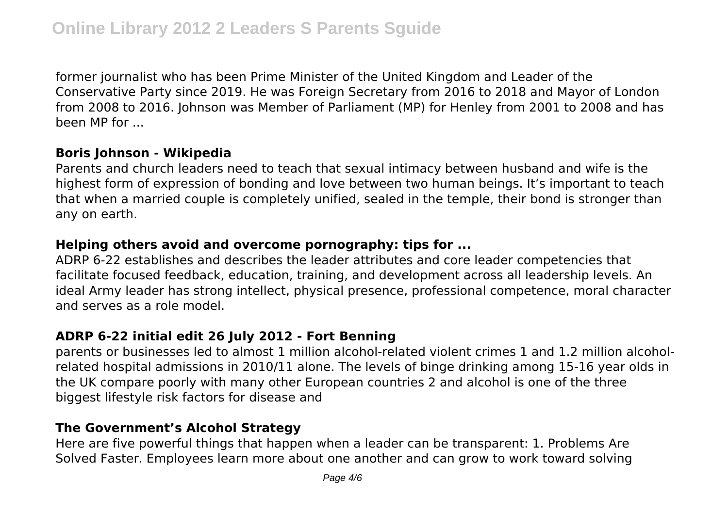former journalist who has been Prime Minister of the United Kingdom and Leader of the Conservative Party since 2019. He was Foreign Secretary from 2016 to 2018 and Mayor of London from 2008 to 2016. Johnson was Member of Parliament (MP) for Henley from 2001 to 2008 and has been MP for ...

#### **Boris Johnson - Wikipedia**

Parents and church leaders need to teach that sexual intimacy between husband and wife is the highest form of expression of bonding and love between two human beings. It's important to teach that when a married couple is completely unified, sealed in the temple, their bond is stronger than any on earth.

#### **Helping others avoid and overcome pornography: tips for ...**

ADRP 6-22 establishes and describes the leader attributes and core leader competencies that facilitate focused feedback, education, training, and development across all leadership levels. An ideal Army leader has strong intellect, physical presence, professional competence, moral character and serves as a role model.

#### **ADRP 6-22 initial edit 26 July 2012 - Fort Benning**

parents or businesses led to almost 1 million alcohol-related violent crimes 1 and 1.2 million alcoholrelated hospital admissions in 2010/11 alone. The levels of binge drinking among 15-16 year olds in the UK compare poorly with many other European countries 2 and alcohol is one of the three biggest lifestyle risk factors for disease and

#### **The Government's Alcohol Strategy**

Here are five powerful things that happen when a leader can be transparent: 1. Problems Are Solved Faster. Employees learn more about one another and can grow to work toward solving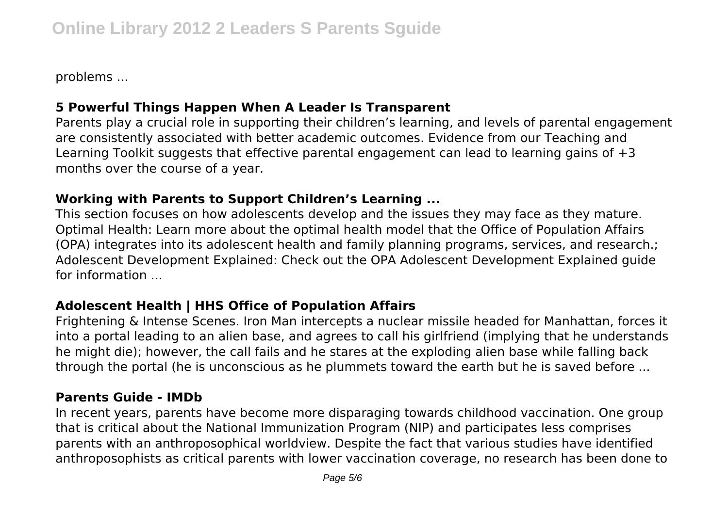problems ...

# **5 Powerful Things Happen When A Leader Is Transparent**

Parents play a crucial role in supporting their children's learning, and levels of parental engagement are consistently associated with better academic outcomes. Evidence from our Teaching and Learning Toolkit suggests that effective parental engagement can lead to learning gains of  $+3$ months over the course of a year.

# **Working with Parents to Support Children's Learning ...**

This section focuses on how adolescents develop and the issues they may face as they mature. Optimal Health: Learn more about the optimal health model that the Office of Population Affairs (OPA) integrates into its adolescent health and family planning programs, services, and research.; Adolescent Development Explained: Check out the OPA Adolescent Development Explained guide for information ...

# **Adolescent Health | HHS Office of Population Affairs**

Frightening & Intense Scenes. Iron Man intercepts a nuclear missile headed for Manhattan, forces it into a portal leading to an alien base, and agrees to call his girlfriend (implying that he understands he might die); however, the call fails and he stares at the exploding alien base while falling back through the portal (he is unconscious as he plummets toward the earth but he is saved before ...

#### **Parents Guide - IMDb**

In recent years, parents have become more disparaging towards childhood vaccination. One group that is critical about the National Immunization Program (NIP) and participates less comprises parents with an anthroposophical worldview. Despite the fact that various studies have identified anthroposophists as critical parents with lower vaccination coverage, no research has been done to